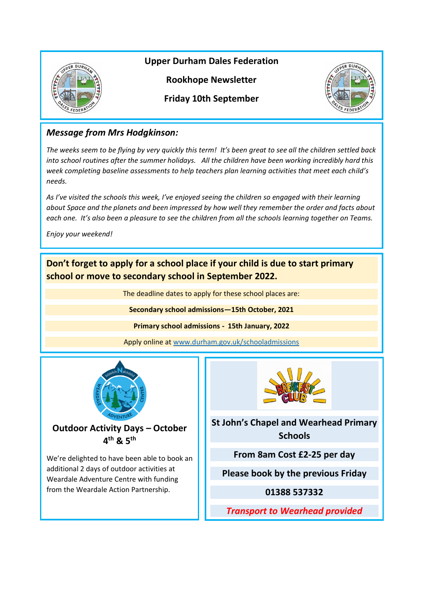

**Upper Durham Dales Federation**

**Rookhope Newsletter**

**Friday 10th September**



# *Message from Mrs Hodgkinson:*

*The weeks seem to be flying by very quickly this term! It's been great to see all the children settled back into school routines after the summer holidays. All the children have been working incredibly hard this week completing baseline assessments to help teachers plan learning activities that meet each child's needs.* 

*As I've visited the schools this week, I've enjoyed seeing the children so engaged with their learning about Space and the planets and been impressed by how well they remember the order and facts about each one. It's also been a pleasure to see the children from all the schools learning together on Teams.* 

*Enjoy your weekend!*

**Don't forget to apply for a school place if your child is due to start primary school or move to secondary school in September 2022.**

The deadline dates to apply for these school places are:

**Secondary school admissions—15th October, 2021**

**Primary school admissions - 15th January, 2022**

Apply online at [www.durham.gov.uk/schooladmissions](http://www.durham.gov.uk/schooladmissions)



**Outdoor Activity Days – October 4 th & 5th**

We're delighted to have been able to book an additional 2 days of outdoor activities at Weardale Adventure Centre with funding from the Weardale Action Partnership.



**St John's Chapel and Wearhead Primary Schools**

**From 8am Cost £2-25 per day**

**Please book by the previous Friday**

**01388 537332**

*Transport to Wearhead provided*